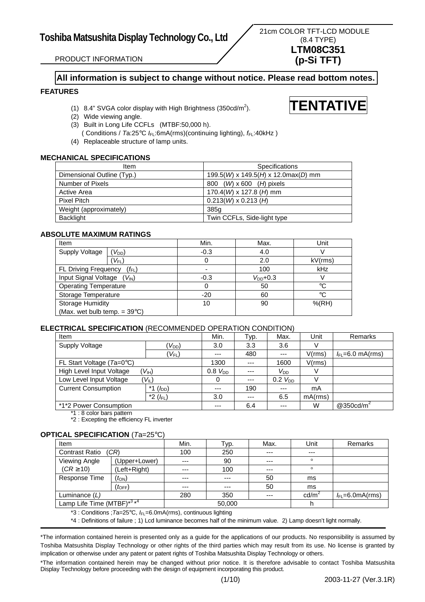**TENTATIVE**

PRODUCT INFORMATION

# **All information is subject to change without notice. Please read bottom notes.**

# **FEATURES**

- (1) 8.4" SVGA color display with High Brightness (350cd/m<sup>2</sup>).
- (2) Wide viewing angle.
- (3) Built in Long Life CCFLs (MTBF:50,000 h).
- ( Conditions / Ta:25°C  $I_{FL}$ :6mA(rms)(continuing lighting),  $f_{FL}$ :40kHz )
- (4) Replaceable structure of lamp units.

# **MECHANICAL SPECIFICATIONS**

| Item                       | <b>Specifications</b>                       |
|----------------------------|---------------------------------------------|
| Dimensional Outline (Typ.) | 199.5(W) x 149.5(H) x 12.0max(D) mm         |
| Number of Pixels           | $(W) \times 600$ ( <i>H</i> ) pixels<br>800 |
| Active Area                | 170.4( <i>W</i> ) x 127.8 ( <i>H</i> ) mm   |
| Pixel Pitch                | $0.213(W) \times 0.213(H)$                  |
| Weight (approximately)     | 385g                                        |
| <b>Backlight</b>           | Twin CCFLs, Side-light type                 |

# **ABSOLUTE MAXIMUM RATINGS**

| Item                                   |                   | Min.   | Max.          | Unit       |
|----------------------------------------|-------------------|--------|---------------|------------|
| <b>Supply Voltage</b>                  | $V_{DD}$          | $-0.3$ | 4.0           |            |
|                                        | $V_{FL}$          | O      | 2.0           | kV(rms)    |
| <b>FL Driving Frequency</b>            | $(f_{\text{FL}})$ |        | 100           | kHz        |
| Input Signal Voltage                   | $(V_{\text{IN}})$ | $-0.3$ | $V_{DD}$ +0.3 |            |
| <b>Operating Temperature</b>           |                   |        | 50            | °C         |
| Storage Temperature                    |                   | $-20$  | 60            | °C         |
| <b>Storage Humidity</b>                |                   | 10     | 90            | $%$ $(RH)$ |
| (Max. wet bulb temp. $= 39^{\circ}C$ ) |                   |        |               |            |

## **ELECTRICAL SPECIFICATION** (RECOMMENDED OPERATION CONDITION)

| Item                                |                           | Min.         | тур. | Max.         | Unit    | Remarks               |
|-------------------------------------|---------------------------|--------------|------|--------------|---------|-----------------------|
| Supply Voltage                      | $V_{DD}$ )                | 3.0          | 3.3  | 3.6          |         |                       |
|                                     | $(V_{FL})$                | ---          | 480  | ---          | V(rms)  | $I_{FL}$ =6.0 mA(rms) |
| FL Start Voltage ( $Ta=0^\circ C$ ) |                           | 1300         | ---  | 1600         | V(rms)  |                       |
| High Level Input Voltage            | $V_{\text{IH}}$           | $0.8 V_{DD}$ | ---  | $V_{DD}$     |         |                       |
| Low Level Input Voltage             | $V_{\parallel}$           | 0            | ---  | $0.2 V_{DD}$ |         |                       |
| <b>Current Consumption</b>          | $(h_{\text{DD}})$<br>$*1$ | ---          | 190  | ---          | mA      |                       |
|                                     | *2 $(f_{FL})$             | 3.0          | ---  | 6.5          | mA(rms) |                       |
| *1*2 Power Consumption              |                           | ---          | 6.4  | ---          | W       | @350cd/m <sup>2</sup> |

1 : 8 color bars pattern

\*2 : Excepting the efficiency FL inverter

# **OPTICAL SPECIFICATION** (*T*a=25°C)

| Item                         |                      | Min.    | Typ.    | Max.  | Unit            | Remarks              |
|------------------------------|----------------------|---------|---------|-------|-----------------|----------------------|
| <b>Contrast Ratio</b>        | (CR)                 | 100     | 250     | $--$  | $---$           |                      |
| Viewing Angle                | (Upper+Lower)        | $---$   | 90      | $---$ | $\circ$         |                      |
| $(CR \geq 10)$               | (Left+Right)         | $- - -$ | 100     | $--$  | $\circ$         |                      |
| Response Time                | $(t_{ON})$           | $- - -$ | $- - -$ | 50    | ms              |                      |
|                              | $(t_{\mathsf{OFF}})$ | $- - -$ | $- - -$ | 50    | ms              |                      |
| Luminance $(L)$              |                      | 280     | 350     | $---$ | $\text{cd/m}^2$ | $I_{FL}$ =6.0mA(rms) |
| Lamp Life Time (MTBF) $*3*4$ |                      |         | 50,000  |       |                 |                      |

\*3 : Conditions ;*T*a=25°C, *I*FL=6.0mA(rms), continuous lighting

\*4 : Definitions of failure ; 1) Lcd luminance becomes half of the minimum value. 2) Lamp doesn't light normally.

\*The information contained herein is presented only as a guide for the applications of our products. No responsibility is assumed by Toshiba Matsushita Display Technology or other rights of the third parties which may result from its use. No license is granted by implication or otherwise under any patent or patent rights of Toshiba Matsushita Display Technology or others.

\*The information contained herein may be changed without prior notice. It is therefore advisable to contact Toshiba Matsushita Display Technology before proceeding with the design of equipment incorporating this product.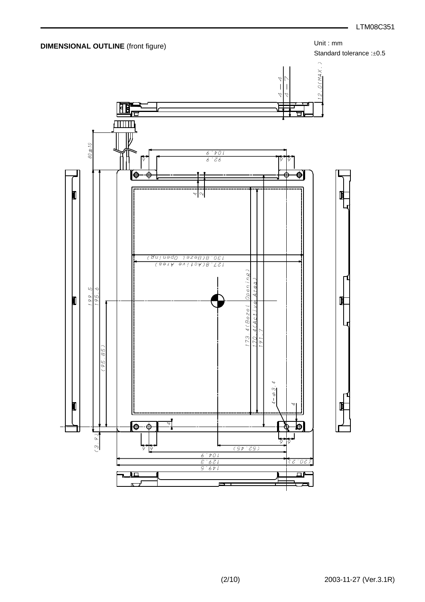

Standard tolerance :±0.5

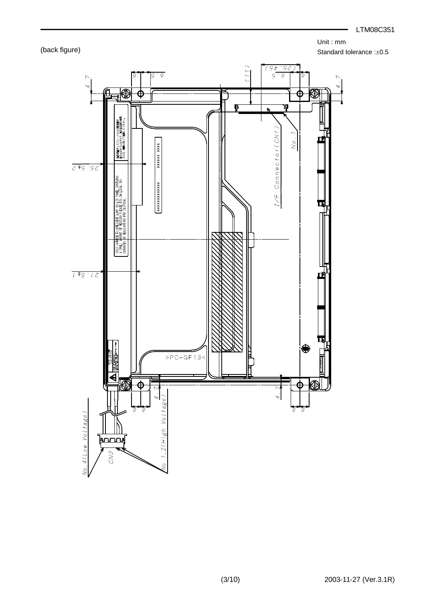LTM08C351

Unit : mm

Standard tolerance :±0.5



(back figure)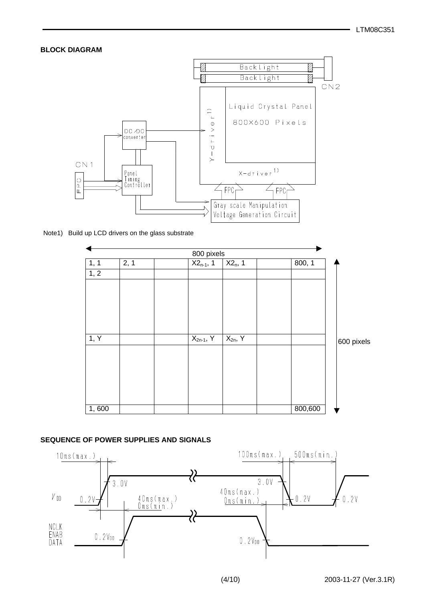# **BLOCK DIAGRAM**



Note1) Build up LCD drivers on the glass substrate

|       |      | 800 pixels     |              |         |            |
|-------|------|----------------|--------------|---------|------------|
| 1, 1  | 2, 1 | $X2_{n-1}$ , 1 | $X2_n$ , 1   | 800, 1  |            |
| 1, 2  |      |                |              |         |            |
|       |      |                |              |         |            |
|       |      |                |              |         |            |
|       |      |                |              |         |            |
|       |      |                |              |         |            |
|       |      |                |              |         |            |
| 1, Y  |      | $X_{2n-1}$ , Y | $X_{2n}$ , Y |         | 600 pixels |
|       |      |                |              |         |            |
|       |      |                |              |         |            |
|       |      |                |              |         |            |
|       |      |                |              |         |            |
|       |      |                |              |         |            |
| 1,600 |      |                |              | 800,600 |            |

# **SEQUENCE OF POWER SUPPLIES AND SIGNALS**

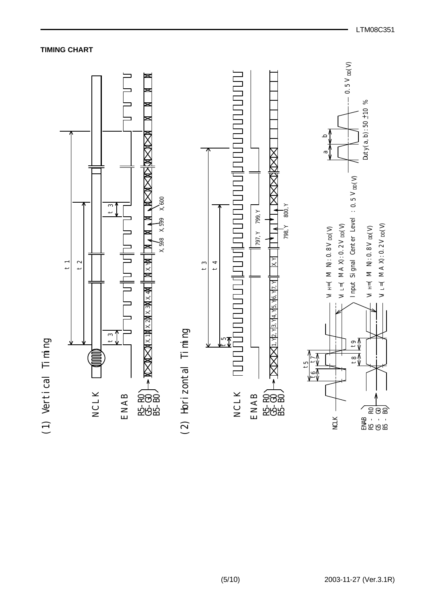

LTM08C351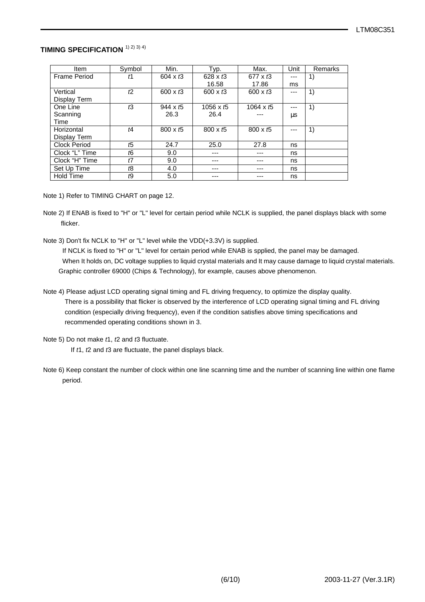# **TIMING SPECIFICATION** 1) 2) 3) 4)

| Item                | Symbol         | Min.                        | Typ.            | Max.            | Unit | Remarks |
|---------------------|----------------|-----------------------------|-----------------|-----------------|------|---------|
| Frame Period        | ť1             | 604 $\times$ t <sub>3</sub> | 628 x $t3$      | $677 \times 13$ |      | 1)      |
|                     |                |                             | 16.58           | 17.86           | ms   |         |
| Vertical            | t2             | 600 $\times$ t <sub>3</sub> | 600 x $t3$      | 600 x $t3$      |      | 1)      |
| Display Term        |                |                             |                 |                 |      |         |
| One Line            | ťЗ             | $944 \times 15$             | 1056 x $t5$     | 1064 x $t5$     |      | 1)      |
| Scanning            |                | 26.3                        | 26.4            |                 | μs   |         |
| Time                |                |                             |                 |                 |      |         |
| Horizontal          | t4             | $800 \times t5$             | $800 \times t5$ | $800 \times t5$ |      | 1)      |
| Display Term        |                |                             |                 |                 |      |         |
| <b>Clock Period</b> | ť5             | 24.7                        | 25.0            | 27.8            | ns   |         |
| Clock "L" Time      | t <sub>6</sub> | 9.0                         |                 | ---             | ns   |         |
| Clock "H" Time      | t7             | 9.0                         | ---             | ---             | ns   |         |
| Set Up Time         | t8             | 4.0                         | ---             | ---             | ns   |         |
| <b>Hold Time</b>    | ť9             | 5.0                         |                 |                 | ns   |         |

Note 1) Refer to TIMING CHART on page 12.

- Note 2) If ENAB is fixed to "H" or "L" level for certain period while NCLK is supplied, the panel displays black with some flicker.
- Note 3) Don't fix NCLK to "H" or "L" level while the VDD(+3.3V) is supplied.

 If NCLK is fixed to "H" or "L" level for certain period while ENAB is spplied, the panel may be damaged. When It holds on, DC voltage supplies to liquid crystal materials and It may cause damage to liquid crystal materials. Graphic controller 69000 (Chips & Technology), for example, causes above phenomenon.

- Note 4) Please adjust LCD operating signal timing and FL driving frequency, to optimize the display quality. There is a possibility that flicker is observed by the interference of LCD operating signal timing and FL driving condition (especially driving frequency), even if the condition satisfies above timing specifications and recommended operating conditions shown in 3.
- Note 5) Do not make *t*1, *t*2 and *t*3 fluctuate.

If *t*1, *t*2 and *t*3 are fluctuate, the panel displays black.

 Note 6) Keep constant the number of clock within one line scanning time and the number of scanning line within one flame period.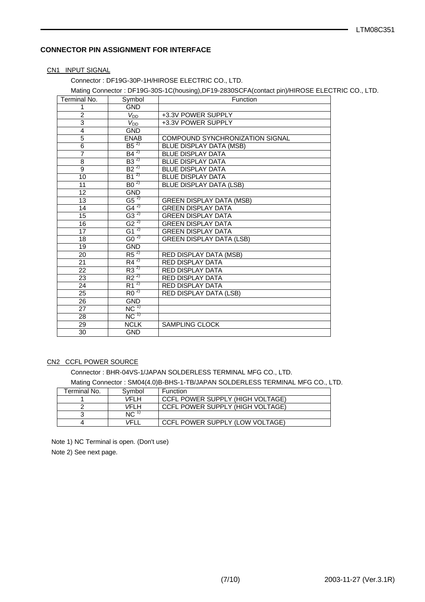# **CONNECTOR PIN ASSIGNMENT FOR INTERFACE**

### CN1 INPUT SIGNAL

Connector : DF19G-30P-1H/HIROSE ELECTRIC CO., LTD.

# Mating Connector : DF19G-30S-1C(housing),DF19-2830SCFA(contact pin)/HIROSE ELECTRIC CO., LTD.

| Symbol             | Function                                                                                                                                                                                                                                                           |
|--------------------|--------------------------------------------------------------------------------------------------------------------------------------------------------------------------------------------------------------------------------------------------------------------|
| <b>GND</b>         |                                                                                                                                                                                                                                                                    |
|                    | +3.3V POWER SUPPLY                                                                                                                                                                                                                                                 |
| $V_{DD}$           | +3.3V POWER SUPPLY                                                                                                                                                                                                                                                 |
| <b>GND</b>         |                                                                                                                                                                                                                                                                    |
| <b>ENAB</b>        | <b>COMPOUND SYNCHRONIZATION SIGNAL</b>                                                                                                                                                                                                                             |
|                    | <b>BLUE DISPLAY DATA (MSB)</b>                                                                                                                                                                                                                                     |
|                    | <b>BLUE DISPLAY DATA</b>                                                                                                                                                                                                                                           |
|                    | <b>BLUE DISPLAY DATA</b>                                                                                                                                                                                                                                           |
|                    | <b>BLUE DISPLAY DATA</b>                                                                                                                                                                                                                                           |
|                    | <b>BLUE DISPLAY DATA</b>                                                                                                                                                                                                                                           |
|                    | <b>BLUE DISPLAY DATA (LSB)</b>                                                                                                                                                                                                                                     |
| <b>GND</b>         |                                                                                                                                                                                                                                                                    |
|                    | <b>GREEN DISPLAY DATA (MSB)</b>                                                                                                                                                                                                                                    |
|                    | <b>GREEN DISPLAY DATA</b>                                                                                                                                                                                                                                          |
|                    | <b>GREEN DISPLAY DATA</b>                                                                                                                                                                                                                                          |
|                    | <b>GREEN DISPLAY DATA</b>                                                                                                                                                                                                                                          |
|                    | <b>GREEN DISPLAY DATA</b>                                                                                                                                                                                                                                          |
|                    | <b>GREEN DISPLAY DATA (LSB)</b>                                                                                                                                                                                                                                    |
| <b>GND</b>         |                                                                                                                                                                                                                                                                    |
|                    | RED DISPLAY DATA (MSB)                                                                                                                                                                                                                                             |
|                    | <b>RED DISPLAY DATA</b>                                                                                                                                                                                                                                            |
|                    | RED DISPLAY DATA                                                                                                                                                                                                                                                   |
|                    | <b>RED DISPLAY DATA</b>                                                                                                                                                                                                                                            |
|                    | <b>RED DISPLAY DATA</b>                                                                                                                                                                                                                                            |
|                    | <b>RED DISPLAY DATA (LSB)</b>                                                                                                                                                                                                                                      |
| <b>GND</b>         |                                                                                                                                                                                                                                                                    |
| $NC^{\frac{1}{1}}$ |                                                                                                                                                                                                                                                                    |
|                    |                                                                                                                                                                                                                                                                    |
| <b>NCLK</b>        | <b>SAMPLING CLOCK</b>                                                                                                                                                                                                                                              |
| <b>GND</b>         |                                                                                                                                                                                                                                                                    |
|                    | $V_{DD}$<br>$B5^{2}$<br>$B4^{2}$<br>$B3^{2}$<br>$B2^{27}$<br>$B1^{27}$<br>$B0^{27}$<br>$G5^{27}$<br>$G4^{27}$<br>$G3^{27}$<br>$G2^{27}$<br>G1 $^{2}$<br>$G_0^2$<br>$R5^{27}$<br>$R4^{27}$<br>$R3^{2}$<br>$R2^{27}$<br>$R1^{27}$<br>$R0^{27}$<br>$NC^{\frac{1}{1}}$ |

## CN2 CCFL POWER SOURCE

Connector : BHR-04VS-1/JAPAN SOLDERLESS TERMINAL MFG CO., LTD.

Mating Connector : SM04(4.0)B-BHS-1-TB/JAPAN SOLDERLESS TERMINAL MFG CO., LTD.

| Terminal No. | Svmbol | Function                         |
|--------------|--------|----------------------------------|
|              | VFI H  | CCFL POWER SUPPLY (HIGH VOLTAGE) |
|              | VFI H  | CCFL POWER SUPPLY (HIGH VOLTAGE) |
| っ            | NC.    |                                  |
|              | VEI I  | CCFL POWER SUPPLY (LOW VOLTAGE)  |

 Note 1) NC Terminal is open. (Don't use) Note 2) See next page.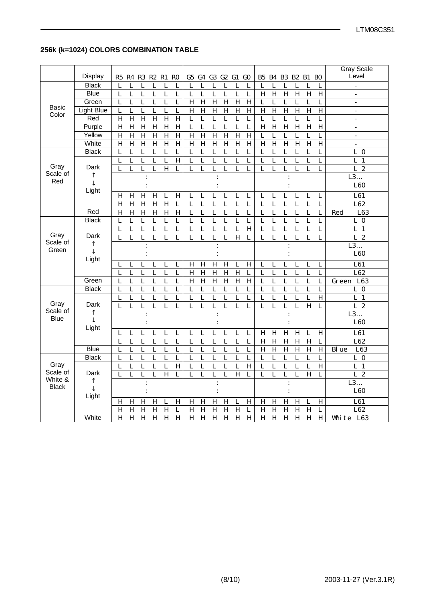# **256k (k=1024) COLORS COMBINATION TABLE**

|                  |                   |                                |                                |                                |                     |                     |                                                    |                               |                     |                                |                                |                               |                                        |                               |                               |                               |                  |                                |       | <b>Gray Scale</b>                |
|------------------|-------------------|--------------------------------|--------------------------------|--------------------------------|---------------------|---------------------|----------------------------------------------------|-------------------------------|---------------------|--------------------------------|--------------------------------|-------------------------------|----------------------------------------|-------------------------------|-------------------------------|-------------------------------|------------------|--------------------------------|-------|----------------------------------|
|                  | <b>Display</b>    | R5                             | R4                             | R3                             | R2 R1               | R <sub>0</sub>      | G5                                                 |                               | $G4$ $G3$           | G2G1                           |                                | G <sub>0</sub>                | B <sub>5</sub>                         | <b>B4</b>                     |                               | B3 B2 B1                      |                  | <b>BO</b>                      |       | Level                            |
|                  | <b>Black</b>      | L                              | L                              | L                              | L                   | L                   | $\mathbf{L}$<br>L                                  | $\mathbf{L}$                  | L                   | $\mathbf{L}$                   | L                              | $\mathbf L$                   | L                                      | L                             | $\mathbf{L}$                  | L                             | L                | L                              |       | $\overline{a}$                   |
|                  | <b>Blue</b>       | L                              | L                              | $\mathbf{L}$                   | L                   | $\mathbf{L}$        | L<br>$\mathbf{L}$                                  | $\mathbf{L}$                  | $\mathbf{L}$        | $\mathbf{L}$                   | $\mathbf{L}$                   | $\mathbf{L}$                  | $\overline{H}$                         | $\mathbf H$                   | $\overline{H}$                | $\mathbf H$                   | $\mathbf H$      | $\, {\rm H}$                   |       | $\overline{\phantom{a}}$         |
|                  | Green             | L                              | L                              | L                              | L                   | L                   | L<br>$\mathbf H$                                   | $\mathbf H$                   | $\mathbf H$         | $\mathbf H$                    | $\mathbf H$                    | $\, {\rm H}$                  | L                                      | L                             | L                             | $\mathbf L$                   | L                | L                              |       | $\overline{a}$                   |
| Basic            | <b>Light Blue</b> | $\mathbf{L}$                   | L                              | L                              | L                   | L                   | L<br>$\mathbf H$                                   | $\mathbf H$                   | H                   | $\mathbf H$                    | H                              | $\, {\bf H}$                  | $\overline{H}$                         | $\overline{H}$                | $\overline{H}$                | $\overline{H}$                | $\mathbf H$      | $\overline{H}$                 |       | $\overline{a}$                   |
| Color            | Red               | $\mathbf H$                    | $\overline{H}$                 | $\mathbf H$                    | $\overline{H}$      | $\, {\bf H}$        | $\overline{H}$<br>$\overline{L}$                   | $\overline{L}$                | L                   | $\overline{L}$                 | $\overline{L}$                 | $\overline{L}$                | $\overline{\mathbf{L}}$                | $\overline{L}$                | $\overline{L}$                | $\mathbf{L}$                  | $\overline{L}$   | $\mathbf L$                    |       | $\overline{\phantom{a}}$         |
|                  | Purple            | $\mathbf H$                    | $\mathbf H$                    | $\mathbf H$                    | $\mathbf H$         | $\mathbf H$         | $\mathbf H$<br>$\mathbf{L}$                        | $\overline{L}$                | $\overline{L}$      | $\mathbf L$                    | $\mathbf L$                    | $\mathbf{L}$                  | $\mathbf H$                            | $\mathbf H$                   | $\mathbf H$                   | $\mathbf H$                   | $\mathbf H$      | $\, {\rm H}$                   |       | $\overline{\phantom{a}}$         |
|                  | Yellow            | $\, {\bf H}$                   | $\overline{H}$                 | $\overline{H}$                 | $\mathbf H$         | $\, {\bf H}$        | $\overline{H}$<br>$\overline{H}$                   | $\overline{H}$                | $\mathbf H$         | $\overline{H}$                 | $\overline{H}$                 | $\overline{H}$                | $\overline{L}$                         | $\overline{L}$                | $\overline{L}$                | $\overline{L}$                | $\mathbf{L}$     | $\overline{L}$                 |       | $\sim$                           |
|                  | White             | $\, {\bf H}$                   | $\mathbf H$                    | $\mathbf H$                    | $\mathbf H$         | $\, {\bf H}$        | $\, {\bf H}$<br>$\mathbf H$                        | $\mathbf H$                   | $\mathbf H$         | $\mathbf H$                    | $\mathbf H$                    | $\, {\bf H}$                  | $\mathbf H$                            | $\mathbf H$                   | $\mathbf H$                   | $\mathbf H$                   | $\mathbf H$      | $\, {\bf H}$                   |       | $\blacksquare$                   |
|                  | <b>Black</b>      | $\mathbf{L}$                   | L                              | $\mathbf{L}$                   | L                   | $\mathbf L$         | L<br>$\mathbf{L}$                                  | $\overline{L}$                | L                   | $\overline{L}$                 | $\mathbf{L}$                   | $\mathbf{L}$                  | $\overline{L}$                         | $\mathbf L$                   | $\overline{L}$                | $\mathbf{L}$                  | L                | L                              |       | $\mathbf{L}$<br>$\bf{0}$         |
|                  |                   | L                              | L                              | L                              | L                   | L                   | H<br>L                                             | L                             | L                   | L                              | L                              | L                             | L                                      | L                             | L                             | L                             | L                | L                              |       | L<br>1                           |
| Gray<br>Scale of | Dark              | $\overline{L}$                 | $\overline{L}$                 | $\overline{L}$                 | $\overline{L}$      | $\overline{H}$      | $\overline{L}$<br>$\overline{L}$                   | $\overline{L}$                | $\overline{L}$      | $\overline{L}$                 | $\overline{L}$                 | $\overline{L}$                | $\overline{L}$                         | $\overline{L}$                | $\overline{\text{L}}$         | $\overline{L}$                | L                | $\overline{L}$                 |       | L <sub>2</sub>                   |
| Red              | ↑                 |                                |                                | $\ddot{\cdot}$                 |                     |                     |                                                    |                               |                     |                                |                                |                               |                                        |                               |                               |                               |                  |                                |       | L3                               |
|                  | ↓                 |                                |                                | $\ddot{\cdot}$                 |                     |                     |                                                    |                               |                     |                                |                                |                               |                                        |                               |                               |                               |                  |                                |       | L60                              |
|                  | Light             | H                              | H                              | $\mathbf H$                    | $\mathbf H$         | L                   | $\, {\rm H}$<br>$\mathbf L$                        | L                             | L                   | L                              | L                              | L                             | L                                      | $\mathbf L$                   | $\mathbf L$                   | L                             | L                | L                              |       | L61                              |
|                  |                   | $\mathbf H$                    | $\mathbf H$                    | $\, {\bf H}$                   | $\mathbf H$         | $\mathbf H$         | $\mathbf{L}$<br>L                                  | $\mathbf{L}$                  | L                   | L                              | $\mathbf L$                    | L                             | L                                      | $\mathbf{L}$                  | $\mathbf L$                   | $\mathbf{L}$                  | L                | L                              |       | L62                              |
|                  | Red               | $\mathbf H$                    | $\mathbf H$                    | $\mathbf H$                    | $\mathbf H$         | $\mathbf H$         | $\, {\bf H}$<br>$\mathbf{L}$                       | $\mathbf{L}$                  | $\mathbf L$         | $\mathbf L$                    | $\mathbf{L}$                   | $\mathbf{L}$                  | $\mathbf{L}$                           | $\mathbf L$                   | $\mathbf{L}$                  | $\mathbf{L}$                  | $\mathbf{L}$     | $\mathbf L$                    | Red   | L63                              |
|                  | <b>Black</b>      | L                              | L                              | $\overline{L}$                 | L                   | L                   | $\overline{L}$<br>$\overline{L}$                   | $\overline{L}$                | $\overline{L}$      | $\overline{L}$                 | $\overline{L}$                 | $\overline{L}$                | $\overline{L}$                         | $\overline{L}$                | $\overline{L}$                | $\overline{L}$                | L                | $\overline{L}$                 |       | $L_0$                            |
|                  |                   | $\mathbf{L}$                   | $\overline{L}$                 | L                              | L                   | L                   | L<br>$\overline{L}$                                | $\overline{L}$                | $\overline{L}$      | $\overline{L}$                 | $\mathbf{L}$                   | $\mathbf H$                   | $\overline{L}$                         | $\mathbf{L}$                  | $\overline{L}$                | $\mathbf{L}$                  | $\overline{L}$   | $\mathbf L$                    |       | $L_1$                            |
| Gray             | Dark              | L                              | L                              | $\mathbf{L}$                   | L                   | L                   | L<br>L                                             | L                             | L                   | $\mathbf{L}$                   | $\mathbf H$                    | L                             | L                                      | L                             | L                             | L                             | L                | L                              |       | L<br>$\boldsymbol{2}$            |
|                  |                   |                                |                                |                                |                     |                     |                                                    |                               |                     |                                |                                |                               |                                        |                               |                               |                               |                  |                                |       |                                  |
| Scale of         | ↑                 |                                |                                | $\ddot{\cdot}$                 |                     |                     |                                                    |                               |                     |                                |                                |                               |                                        |                               |                               |                               |                  |                                |       | L3                               |
| Green            | $\downarrow$      |                                |                                | $\ddot{\cdot}$                 |                     |                     |                                                    |                               |                     |                                |                                |                               |                                        |                               |                               |                               |                  |                                |       | L60                              |
|                  | Light             | L                              | L                              | $\mathbf{L}$                   | L                   | L                   | $\mathbf{L}$<br>$\mathbf H$                        |                               | $\mathbf H$         |                                | $\mathbf{L}$                   |                               | $\mathbf L$                            | L                             | $\mathbf{L}$                  | $\mathbf{L}$                  | $\mathbf{L}$     | $\mathbf{L}$                   |       |                                  |
|                  |                   | L                              | $\mathbf{L}$                   | $\mathbf{L}$                   | $\mathbf{L}$        | $\mathbf{L}$        | $\mathbf{L}$<br>$\mathbf H$                        | $\mathbf H$<br>$\mathbf H$    | $\mathbf H$         | $\mathbf H$<br>$\mathbf H$     | $\mathbf H$                    | $\mathbf H$<br>$\mathbf{L}$   | $\mathbf{L}$                           | $\mathbf{L}$                  | $\mathbf{L}$                  | $\mathbf{L}$                  | $\mathbf{L}$     | L                              |       | L61<br>L62                       |
|                  | Green             | $\mathbf{L}$                   | L                              | $\mathbf{L}$                   | L                   | L                   | L<br>$\mathbf H$                                   | $\mathbf H$                   | $\mathbf H$         | $\mathbf H$                    | H                              | $\, {\bf H}$                  | $\overline{L}$                         | $\mathbf{L}$                  | $\mathbf{L}$                  | $\mathbf{L}$                  | L                | $\mathbf L$                    | Green | L63                              |
|                  | <b>Black</b>      | $\mathbf{L}$                   | L                              | L                              | L                   | L                   | L<br>$\mathbf{L}$                                  | $\mathbf{L}$                  | L                   | L                              | L                              | L                             | L                                      | L                             | $\mathbf L$                   | $\mathbf L$                   | L                | L                              |       | $L_0$                            |
|                  |                   | L                              | L                              | L                              | L                   | L                   | $\mathbf{L}$<br>L                                  | $\mathbf{L}$                  | L                   | L                              | L                              | $\overline{L}$                | L                                      | $\mathbf{L}$                  | $\mathbf{L}$                  | L                             | L                | $\mathbf H$                    |       | $\mathbf{L}$<br>1                |
| Gray             | Dark              | $\overline{L}$                 | L                              | $\overline{L}$                 | L                   | L                   | $\overline{L}$<br>$\overline{L}$                   | $\overline{L}$                | $\overline{L}$      | $\overline{L}$                 | $\overline{L}$                 | $\overline{L}$                | L                                      | $\overline{L}$                | $\overline{L}$                | $\overline{L}$                | $\overline{H}$   | $\mathbf L$                    |       | L <sub>2</sub>                   |
| Scale of         | ↑                 |                                |                                | $\ddot{\cdot}$                 |                     |                     |                                                    |                               |                     |                                |                                |                               |                                        |                               |                               |                               |                  |                                |       | L3                               |
| <b>Blue</b>      | $\downarrow$      |                                |                                |                                |                     |                     |                                                    |                               |                     |                                |                                |                               |                                        |                               |                               |                               |                  |                                |       | L60                              |
|                  | Light             |                                |                                |                                |                     |                     |                                                    |                               |                     |                                |                                |                               |                                        |                               |                               |                               |                  |                                |       |                                  |
|                  |                   | L<br>$\overline{L}$            | L<br>$\overline{L}$            | L<br>$\overline{L}$            | L<br>$\overline{L}$ | L<br>$\overline{L}$ | L<br>$\mathbf{L}$<br>$\overline{L}$<br>L           | L<br>$\overline{L}$           | L<br>$\overline{L}$ | L<br>$\overline{\mathbf{L}}$   | L<br>$\overline{L}$            | L                             | H                                      | $\mathbf H$                   | $\mathbf H$                   | H                             | $\mathbf{L}$     | $\, {\rm H}$<br>$\overline{L}$ |       | L61                              |
|                  | <b>Blue</b>       |                                |                                |                                |                     |                     |                                                    |                               |                     |                                |                                | $\overline{L}$                | $\overline{H}$                         | $\overline{H}$                | $\overline{H}$                | $\overline{H}$                | $\overline{H}$   |                                | Bl ue | L62                              |
|                  | <b>Black</b>      | $\mathbf{L}$<br>$\overline{L}$ | $\mathbf{L}$<br>$\overline{L}$ | $\mathbf{L}$<br>$\overline{L}$ | L<br>L              | L<br>L              | $\mathbf L$<br>$\mathbf{L}$<br>L<br>$\overline{L}$ | $\mathbf L$<br>$\overline{L}$ | $\mathbf L$<br>L    | $\mathbf{L}$<br>$\overline{L}$ | $\mathbf{L}$<br>$\overline{L}$ | $\mathbf L$<br>$\overline{L}$ | $\mathbf H$<br>$\overline{\mathbf{L}}$ | $\mathbf H$<br>$\overline{L}$ | $\mathbf H$<br>$\overline{L}$ | $\mathbf H$<br>$\overline{L}$ | $\mathbf H$<br>L | $\, {\bf H}$<br>L              |       | L63<br>$L_0$                     |
| Gray             |                   | L                              | L                              | L                              | L                   | L                   | $\, {\bf H}$<br>L                                  | L                             | L                   | L                              | $\mathbf L$                    | $\, {\bf H}$                  | L                                      | $\mathbf L$                   | $\mathbf L$                   | L                             | L                | $\, {\bf H}$                   |       | L<br>$\mathbf{1}$                |
| Scale of         | Dark              | $\overline{L}$                 | L                              | $\overline{L}$                 | L                   | $\overline{H}$      | $\overline{L}$<br>$\overline{L}$                   | $\overline{L}$                | $\overline{L}$      | $\overline{L}$                 | $\overline{H}$                 | L                             | $\overline{L}$                         | $\overline{L}$                | $\overline{L}$                | $\overline{L}$                | $\mathbf H$      | $\overline{L}$                 |       | $\overline{L}$<br>$\overline{2}$ |
| White &          | ↑                 |                                |                                |                                |                     |                     |                                                    |                               |                     |                                |                                |                               |                                        |                               |                               |                               |                  |                                |       | L3                               |
| <b>Black</b>     | $\downarrow$      |                                |                                |                                |                     |                     |                                                    |                               |                     |                                |                                |                               |                                        |                               |                               |                               |                  |                                |       | L60                              |
|                  | Light             | H                              | $\mathbf H$                    | $\mathbf H$                    | H                   | L                   | $\boldsymbol{\mathrm{H}}$<br>$\mathbf H$           | $\mathbf H$                   | $\mathbf H$         | $\mathbf H$                    | L                              | $\mathbf H$                   | $\mathbf H$                            | $\mathbf H$                   | $\mathbf H$                   | $\, {\rm H}$                  | $\mathbf L$      | $\, {\bf H}$                   |       | L61                              |
|                  |                   | $\mathbf H$                    | $\mathbf H$                    | H                              | $\mathbf H$         | $\mathbf H$         | L<br>$\mathbf H$                                   | $\mathbf H$                   | $\mathbf H$         | $\mathbf H$                    | $\mathbf H$                    | L                             | $\mathbf H$                            | $\mathbf H$                   | $\mathbf H$                   | $\mathbf H$                   | $\mathbf H$      | L                              |       | L62                              |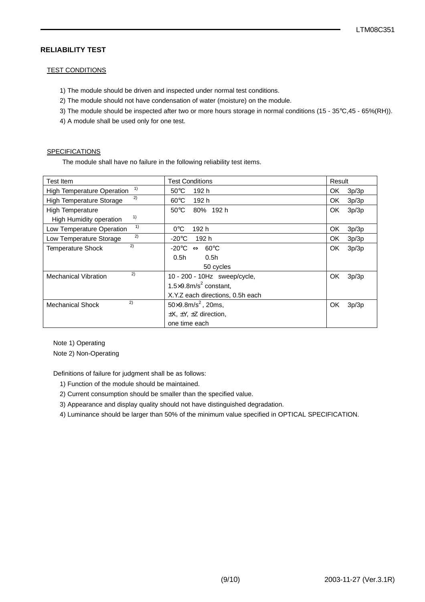## **RELIABILITY TEST**

#### TEST CONDITIONS

- 1) The module should be driven and inspected under normal test conditions.
- 2) The module should not have condensation of water (moisture) on the module.
- 3) The module should be inspected after two or more hours storage in normal conditions (15 35°C,45 65%(RH)).
- 4) A module shall be used only for one test.

#### **SPECIFICATIONS**

The module shall have no failure in the following reliability test items.

| <b>Test Item</b>                        | <b>Test Conditions</b>                     | Result       |
|-----------------------------------------|--------------------------------------------|--------------|
| 1)<br><b>High Temperature Operation</b> | $50^{\circ}$ C<br>192 h                    | OK.<br>3p/3p |
| 2)<br>High Temperature Storage          | $60^{\circ}$ C<br>192 h                    | OK.<br>3p/3p |
| High Temperature                        | $50^{\circ}$ C<br>80% 192 h                | OK.<br>3p/3p |
| 1)<br>High Humidity operation           |                                            |              |
| 1)<br>Low Temperature Operation         | 192 h<br>$0^{\circ}$ C                     | OK<br>3p/3p  |
| 2)<br>Low Temperature Storage           | -20°C<br>192 h                             | 3p/3p<br>OK. |
| 2)<br><b>Temperature Shock</b>          | -20°C<br>$\Leftrightarrow$ 60°C            | OK.<br>3p/3p |
|                                         | 0.5h<br>0.5h                               |              |
|                                         | 50 cycles                                  |              |
| 2)<br><b>Mechanical Vibration</b>       | 10 - 200 - 10Hz sweep/cycle,               | OK<br>3p/3p  |
|                                         | 1.5 $\times$ 9.8m/s <sup>2</sup> constant, |              |
|                                         | X.Y.Z each directions, 0.5h each           |              |
| 2)<br><b>Mechanical Shock</b>           | $50 \times 9.8$ m/s <sup>2</sup> , 20ms,   | OK<br>3p/3p  |
|                                         | $\pm X$ , $\pm Y$ , $\pm Z$ direction,     |              |
|                                         | one time each                              |              |

Note 1) Operating

Note 2) Non-Operating

Definitions of failure for judgment shall be as follows:

- 1) Function of the module should be maintained.
- 2) Current consumption should be smaller than the specified value.
- 3) Appearance and display quality should not have distinguished degradation.
- 4) Luminance should be larger than 50% of the minimum value specified in OPTICAL SPECIFICATION.